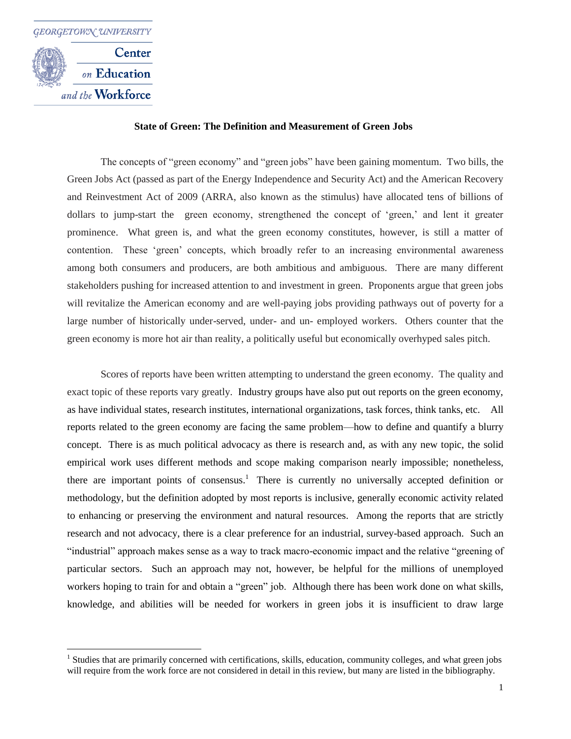

 $\overline{a}$ 

# **State of Green: The Definition and Measurement of Green Jobs**

The concepts of "green economy" and "green jobs" have been gaining momentum. Two bills, the Green Jobs Act (passed as part of the Energy Independence and Security Act) and the American Recovery and Reinvestment Act of 2009 (ARRA, also known as the stimulus) have allocated tens of billions of dollars to jump-start the green economy, strengthened the concept of "green," and lent it greater prominence. What green is, and what the green economy constitutes, however, is still a matter of contention. These "green" concepts, which broadly refer to an increasing environmental awareness among both consumers and producers, are both ambitious and ambiguous. There are many different stakeholders pushing for increased attention to and investment in green. Proponents argue that green jobs will revitalize the American economy and are well-paying jobs providing pathways out of poverty for a large number of historically under-served, under- and un- employed workers. Others counter that the green economy is more hot air than reality, a politically useful but economically overhyped sales pitch.

Scores of reports have been written attempting to understand the green economy. The quality and exact topic of these reports vary greatly. Industry groups have also put out reports on the green economy, as have individual states, research institutes, international organizations, task forces, think tanks, etc. All reports related to the green economy are facing the same problem—how to define and quantify a blurry concept. There is as much political advocacy as there is research and, as with any new topic, the solid empirical work uses different methods and scope making comparison nearly impossible; nonetheless, there are important points of consensus.<sup>1</sup> There is currently no universally accepted definition or methodology, but the definition adopted by most reports is inclusive, generally economic activity related to enhancing or preserving the environment and natural resources. Among the reports that are strictly research and not advocacy, there is a clear preference for an industrial, survey-based approach. Such an "industrial" approach makes sense as a way to track macro-economic impact and the relative "greening of particular sectors. Such an approach may not, however, be helpful for the millions of unemployed workers hoping to train for and obtain a "green" job. Although there has been work done on what skills, knowledge, and abilities will be needed for workers in green jobs it is insufficient to draw large

<sup>&</sup>lt;sup>1</sup> Studies that are primarily concerned with certifications, skills, education, community colleges, and what green jobs will require from the work force are not considered in detail in this review, but many are listed in the bibliography.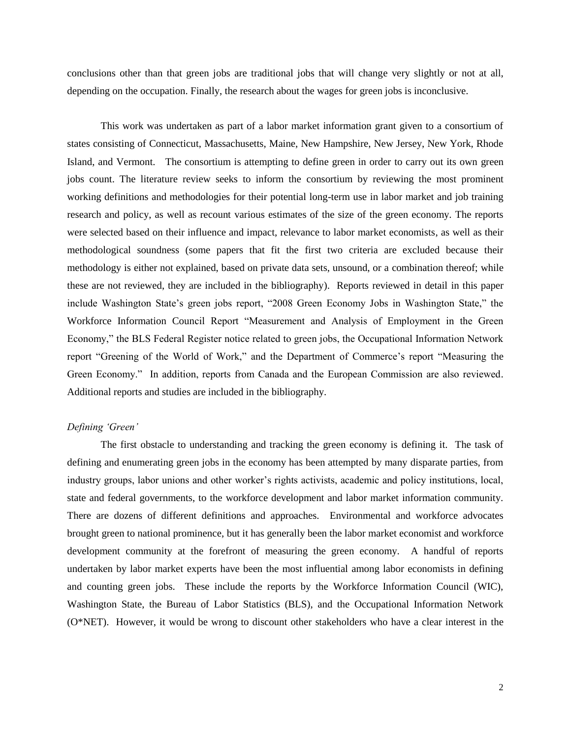conclusions other than that green jobs are traditional jobs that will change very slightly or not at all, depending on the occupation. Finally, the research about the wages for green jobs is inconclusive.

This work was undertaken as part of a labor market information grant given to a consortium of states consisting of Connecticut, Massachusetts, Maine, New Hampshire, New Jersey, New York, Rhode Island, and Vermont. The consortium is attempting to define green in order to carry out its own green jobs count. The literature review seeks to inform the consortium by reviewing the most prominent working definitions and methodologies for their potential long-term use in labor market and job training research and policy, as well as recount various estimates of the size of the green economy. The reports were selected based on their influence and impact, relevance to labor market economists, as well as their methodological soundness (some papers that fit the first two criteria are excluded because their methodology is either not explained, based on private data sets, unsound, or a combination thereof; while these are not reviewed, they are included in the bibliography). Reports reviewed in detail in this paper include Washington State"s green jobs report, "2008 Green Economy Jobs in Washington State," the Workforce Information Council Report "Measurement and Analysis of Employment in the Green Economy," the BLS Federal Register notice related to green jobs, the Occupational Information Network report "Greening of the World of Work," and the Department of Commerce's report "Measuring the Green Economy." In addition, reports from Canada and the European Commission are also reviewed. Additional reports and studies are included in the bibliography.

# *Defining 'Green'*

The first obstacle to understanding and tracking the green economy is defining it. The task of defining and enumerating green jobs in the economy has been attempted by many disparate parties, from industry groups, labor unions and other worker"s rights activists, academic and policy institutions, local, state and federal governments, to the workforce development and labor market information community. There are dozens of different definitions and approaches. Environmental and workforce advocates brought green to national prominence, but it has generally been the labor market economist and workforce development community at the forefront of measuring the green economy. A handful of reports undertaken by labor market experts have been the most influential among labor economists in defining and counting green jobs. These include the reports by the Workforce Information Council (WIC), Washington State, the Bureau of Labor Statistics (BLS), and the Occupational Information Network (O\*NET). However, it would be wrong to discount other stakeholders who have a clear interest in the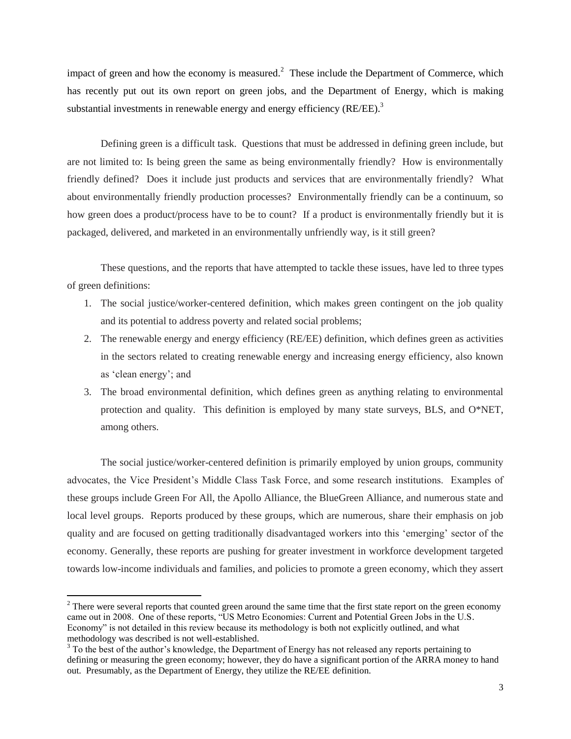impact of green and how the economy is measured.<sup>2</sup> These include the Department of Commerce, which has recently put out its own report on green jobs, and the Department of Energy, which is making substantial investments in renewable energy and energy efficiency  $(RE/EE)$ .

Defining green is a difficult task. Questions that must be addressed in defining green include, but are not limited to: Is being green the same as being environmentally friendly? How is environmentally friendly defined? Does it include just products and services that are environmentally friendly? What about environmentally friendly production processes? Environmentally friendly can be a continuum, so how green does a product/process have to be to count? If a product is environmentally friendly but it is packaged, delivered, and marketed in an environmentally unfriendly way, is it still green?

These questions, and the reports that have attempted to tackle these issues, have led to three types of green definitions:

- 1. The social justice/worker-centered definition, which makes green contingent on the job quality and its potential to address poverty and related social problems;
- 2. The renewable energy and energy efficiency (RE/EE) definition, which defines green as activities in the sectors related to creating renewable energy and increasing energy efficiency, also known as "clean energy"; and
- 3. The broad environmental definition, which defines green as anything relating to environmental protection and quality. This definition is employed by many state surveys, BLS, and O\*NET, among others.

The social justice/worker-centered definition is primarily employed by union groups, community advocates, the Vice President"s Middle Class Task Force, and some research institutions. Examples of these groups include Green For All, the Apollo Alliance, the BlueGreen Alliance, and numerous state and local level groups. Reports produced by these groups, which are numerous, share their emphasis on job quality and are focused on getting traditionally disadvantaged workers into this "emerging" sector of the economy. Generally, these reports are pushing for greater investment in workforce development targeted towards low-income individuals and families, and policies to promote a green economy, which they assert

 $2$  There were several reports that counted green around the same time that the first state report on the green economy came out in 2008. One of these reports, "US Metro Economies: Current and Potential Green Jobs in the U.S. Economy" is not detailed in this review because its methodology is both not explicitly outlined, and what methodology was described is not well-established.

 $3$  To the best of the author's knowledge, the Department of Energy has not released any reports pertaining to defining or measuring the green economy; however, they do have a significant portion of the ARRA money to hand out. Presumably, as the Department of Energy, they utilize the RE/EE definition.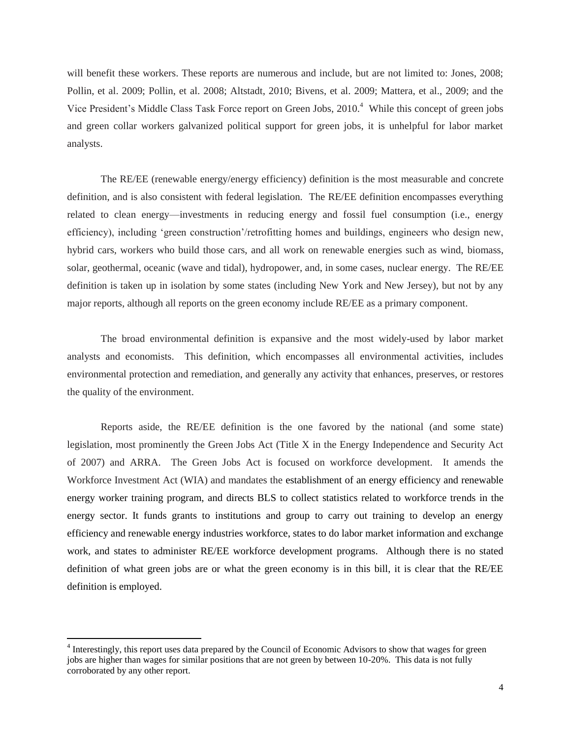will benefit these workers. These reports are numerous and include, but are not limited to: Jones, 2008; Pollin, et al. 2009; Pollin, et al. 2008; Altstadt, 2010; Bivens, et al. 2009; Mattera, et al., 2009; and the Vice President's Middle Class Task Force report on Green Jobs, 2010.<sup>4</sup> While this concept of green jobs and green collar workers galvanized political support for green jobs, it is unhelpful for labor market analysts.

The RE/EE (renewable energy/energy efficiency) definition is the most measurable and concrete definition, and is also consistent with federal legislation. The RE/EE definition encompasses everything related to clean energy—investments in reducing energy and fossil fuel consumption (i.e., energy efficiency), including "green construction"/retrofitting homes and buildings, engineers who design new, hybrid cars, workers who build those cars, and all work on renewable energies such as wind, biomass, solar, geothermal, oceanic (wave and tidal), hydropower, and, in some cases, nuclear energy. The RE/EE definition is taken up in isolation by some states (including New York and New Jersey), but not by any major reports, although all reports on the green economy include RE/EE as a primary component.

The broad environmental definition is expansive and the most widely-used by labor market analysts and economists. This definition, which encompasses all environmental activities, includes environmental protection and remediation, and generally any activity that enhances, preserves, or restores the quality of the environment.

Reports aside, the RE/EE definition is the one favored by the national (and some state) legislation, most prominently the Green Jobs Act (Title X in the Energy Independence and Security Act of 2007) and ARRA. The Green Jobs Act is focused on workforce development. It amends the Workforce Investment Act (WIA) and mandates the establishment of an energy efficiency and renewable energy worker training program, and directs BLS to collect statistics related to workforce trends in the energy sector. It funds grants to institutions and group to carry out training to develop an energy efficiency and renewable energy industries workforce, states to do labor market information and exchange work, and states to administer RE/EE workforce development programs. Although there is no stated definition of what green jobs are or what the green economy is in this bill, it is clear that the RE/EE definition is employed.

<sup>&</sup>lt;sup>4</sup> Interestingly, this report uses data prepared by the Council of Economic Advisors to show that wages for green jobs are higher than wages for similar positions that are not green by between 10-20%. This data is not fully corroborated by any other report.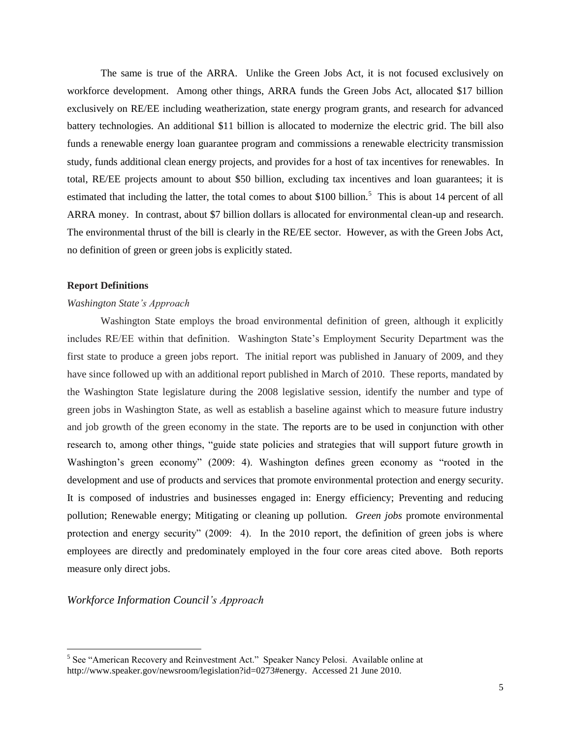The same is true of the ARRA. Unlike the Green Jobs Act, it is not focused exclusively on workforce development. Among other things, ARRA funds the Green Jobs Act, allocated \$17 billion exclusively on RE/EE including weatherization, state energy program grants, and research for advanced battery technologies. An additional \$11 billion is allocated to modernize the electric grid. The bill also funds a renewable energy loan guarantee program and commissions a renewable electricity transmission study, funds additional clean energy projects, and provides for a host of tax incentives for renewables. In total, RE/EE projects amount to about \$50 billion, excluding tax incentives and loan guarantees; it is estimated that including the latter, the total comes to about \$100 billion.<sup>5</sup> This is about 14 percent of all ARRA money. In contrast, about \$7 billion dollars is allocated for environmental clean-up and research. The environmental thrust of the bill is clearly in the RE/EE sector. However, as with the Green Jobs Act, no definition of green or green jobs is explicitly stated.

## **Report Definitions**

#### *Washington State's Approach*

Washington State employs the broad environmental definition of green, although it explicitly includes RE/EE within that definition. Washington State"s Employment Security Department was the first state to produce a green jobs report. The initial report was published in January of 2009, and they have since followed up with an additional report published in March of 2010. These reports, mandated by the Washington State legislature during the 2008 legislative session, identify the number and type of green jobs in Washington State, as well as establish a baseline against which to measure future industry and job growth of the green economy in the state. The reports are to be used in conjunction with other research to, among other things, "guide state policies and strategies that will support future growth in Washington's green economy" (2009: 4). Washington defines green economy as "rooted in the development and use of products and services that promote environmental protection and energy security. It is composed of industries and businesses engaged in: Energy efficiency; Preventing and reducing pollution; Renewable energy; Mitigating or cleaning up pollution. *Green jobs* promote environmental protection and energy security" (2009: 4). In the 2010 report, the definition of green jobs is where employees are directly and predominately employed in the four core areas cited above. Both reports measure only direct jobs.

*Workforce Information Council's Approach*

<sup>&</sup>lt;sup>5</sup> See "American Recovery and Reinvestment Act." Speaker Nancy Pelosi. Available online at [http://www.speaker.gov/newsroom/legislation?id=0273#energy.](http://www.speaker.gov/newsroom/legislation?id=0273#energy) Accessed 21 June 2010.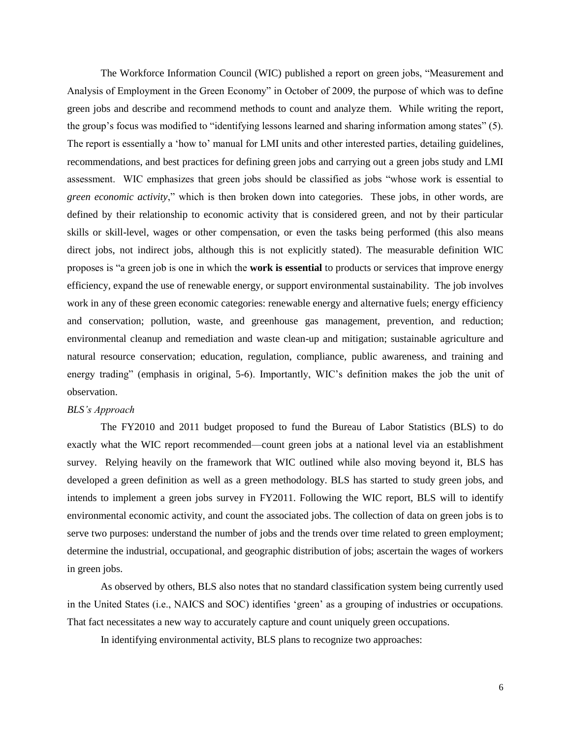The Workforce Information Council (WIC) published a report on green jobs, "Measurement and Analysis of Employment in the Green Economy" in October of 2009, the purpose of which was to define green jobs and describe and recommend methods to count and analyze them. While writing the report, the group"s focus was modified to "identifying lessons learned and sharing information among states" (5). The report is essentially a 'how to' manual for LMI units and other interested parties, detailing guidelines, recommendations, and best practices for defining green jobs and carrying out a green jobs study and LMI assessment. WIC emphasizes that green jobs should be classified as jobs "whose work is essential to *green economic activity*," which is then broken down into categories. These jobs, in other words, are defined by their relationship to economic activity that is considered green, and not by their particular skills or skill-level, wages or other compensation, or even the tasks being performed (this also means direct jobs, not indirect jobs, although this is not explicitly stated). The measurable definition WIC proposes is "a green job is one in which the **work is essential** to products or services that improve energy efficiency, expand the use of renewable energy, or support environmental sustainability. The job involves work in any of these green economic categories: renewable energy and alternative fuels; energy efficiency and conservation; pollution, waste, and greenhouse gas management, prevention, and reduction; environmental cleanup and remediation and waste clean-up and mitigation; sustainable agriculture and natural resource conservation; education, regulation, compliance, public awareness, and training and energy trading" (emphasis in original, 5-6). Importantly, WIC's definition makes the job the unit of observation.

#### *BLS's Approach*

The FY2010 and 2011 budget proposed to fund the Bureau of Labor Statistics (BLS) to do exactly what the WIC report recommended—count green jobs at a national level via an establishment survey. Relying heavily on the framework that WIC outlined while also moving beyond it, BLS has developed a green definition as well as a green methodology. BLS has started to study green jobs, and intends to implement a green jobs survey in FY2011. Following the WIC report, BLS will to identify environmental economic activity, and count the associated jobs. The collection of data on green jobs is to serve two purposes: understand the number of jobs and the trends over time related to green employment; determine the industrial, occupational, and geographic distribution of jobs; ascertain the wages of workers in green jobs.

As observed by others, BLS also notes that no standard classification system being currently used in the United States (i.e., NAICS and SOC) identifies "green" as a grouping of industries or occupations. That fact necessitates a new way to accurately capture and count uniquely green occupations.

In identifying environmental activity, BLS plans to recognize two approaches: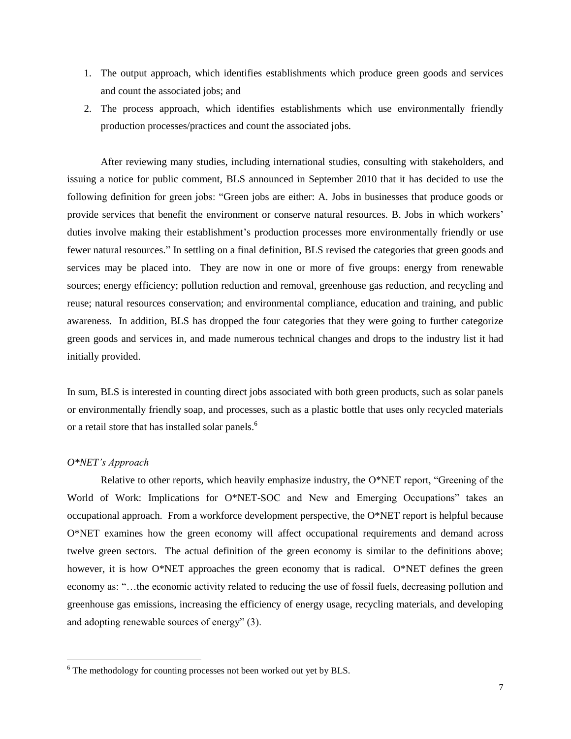- 1. The output approach, which identifies establishments which produce green goods and services and count the associated jobs; and
- 2. The process approach, which identifies establishments which use environmentally friendly production processes/practices and count the associated jobs.

After reviewing many studies, including international studies, consulting with stakeholders, and issuing a notice for public comment, BLS announced in September 2010 that it has decided to use the following definition for green jobs: "Green jobs are either: A. Jobs in businesses that produce goods or provide services that benefit the environment or conserve natural resources. B. Jobs in which workers" duties involve making their establishment's production processes more environmentally friendly or use fewer natural resources." In settling on a final definition, BLS revised the categories that green goods and services may be placed into. They are now in one or more of five groups: energy from renewable sources; energy efficiency; pollution reduction and removal, greenhouse gas reduction, and recycling and reuse; natural resources conservation; and environmental compliance, education and training, and public awareness. In addition, BLS has dropped the four categories that they were going to further categorize green goods and services in, and made numerous technical changes and drops to the industry list it had initially provided.

In sum, BLS is interested in counting direct jobs associated with both green products, such as solar panels or environmentally friendly soap, and processes, such as a plastic bottle that uses only recycled materials or a retail store that has installed solar panels.<sup>6</sup>

## *O\*NET's Approach*

 $\overline{a}$ 

Relative to other reports, which heavily emphasize industry, the O\*NET report, "Greening of the World of Work: Implications for O\*NET-SOC and New and Emerging Occupations" takes an occupational approach. From a workforce development perspective, the O\*NET report is helpful because O\*NET examines how the green economy will affect occupational requirements and demand across twelve green sectors. The actual definition of the green economy is similar to the definitions above; however, it is how O\*NET approaches the green economy that is radical. O\*NET defines the green economy as: "…the economic activity related to reducing the use of fossil fuels, decreasing pollution and greenhouse gas emissions, increasing the efficiency of energy usage, recycling materials, and developing and adopting renewable sources of energy" (3).

<sup>&</sup>lt;sup>6</sup> The methodology for counting processes not been worked out yet by BLS.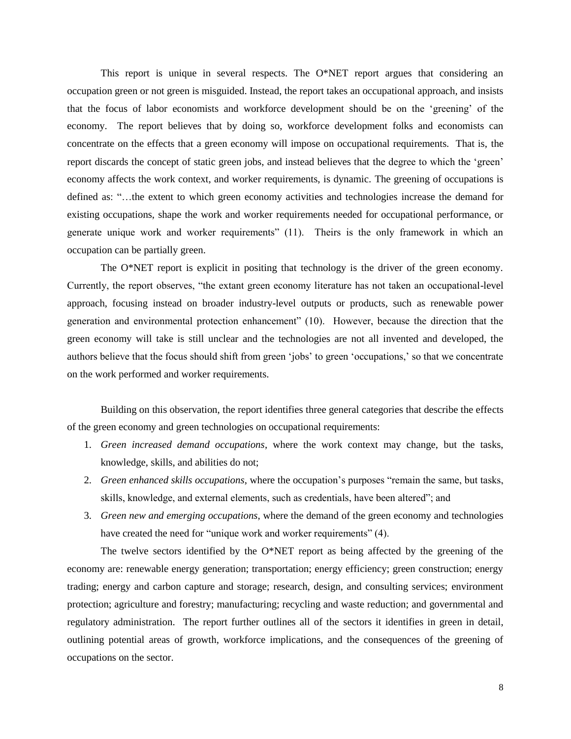This report is unique in several respects. The O\*NET report argues that considering an occupation green or not green is misguided. Instead, the report takes an occupational approach, and insists that the focus of labor economists and workforce development should be on the "greening" of the economy. The report believes that by doing so, workforce development folks and economists can concentrate on the effects that a green economy will impose on occupational requirements. That is, the report discards the concept of static green jobs, and instead believes that the degree to which the "green" economy affects the work context, and worker requirements, is dynamic. The greening of occupations is defined as: "…the extent to which green economy activities and technologies increase the demand for existing occupations, shape the work and worker requirements needed for occupational performance, or generate unique work and worker requirements" (11). Theirs is the only framework in which an occupation can be partially green.

The O\*NET report is explicit in positing that technology is the driver of the green economy. Currently, the report observes, "the extant green economy literature has not taken an occupational-level approach, focusing instead on broader industry-level outputs or products, such as renewable power generation and environmental protection enhancement" (10). However, because the direction that the green economy will take is still unclear and the technologies are not all invented and developed, the authors believe that the focus should shift from green "jobs" to green "occupations," so that we concentrate on the work performed and worker requirements.

Building on this observation, the report identifies three general categories that describe the effects of the green economy and green technologies on occupational requirements:

- 1. *Green increased demand occupations*, where the work context may change, but the tasks, knowledge, skills, and abilities do not;
- 2. *Green enhanced skills occupations*, where the occupation"s purposes "remain the same, but tasks, skills, knowledge, and external elements, such as credentials, have been altered"; and
- 3. *Green new and emerging occupations*, where the demand of the green economy and technologies have created the need for "unique work and worker requirements" (4).

The twelve sectors identified by the  $O^*NET$  report as being affected by the greening of the economy are: renewable energy generation; transportation; energy efficiency; green construction; energy trading; energy and carbon capture and storage; research, design, and consulting services; environment protection; agriculture and forestry; manufacturing; recycling and waste reduction; and governmental and regulatory administration. The report further outlines all of the sectors it identifies in green in detail, outlining potential areas of growth, workforce implications, and the consequences of the greening of occupations on the sector.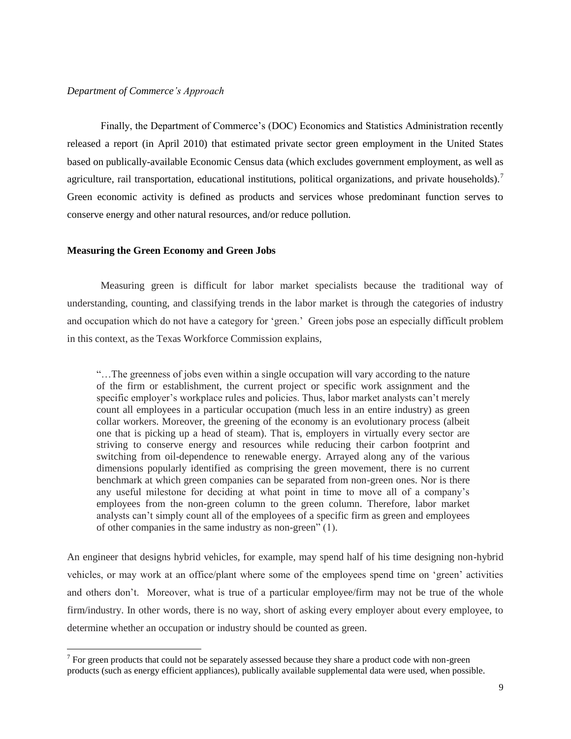### *Department of Commerce's Approach*

Finally, the Department of Commerce's (DOC) Economics and Statistics Administration recently released a report (in April 2010) that estimated private sector green employment in the United States based on publically-available Economic Census data (which excludes government employment, as well as agriculture, rail transportation, educational institutions, political organizations, and private households).<sup>7</sup> Green economic activity is defined as products and services whose predominant function serves to conserve energy and other natural resources, and/or reduce pollution.

#### **Measuring the Green Economy and Green Jobs**

Measuring green is difficult for labor market specialists because the traditional way of understanding, counting, and classifying trends in the labor market is through the categories of industry and occupation which do not have a category for "green." Green jobs pose an especially difficult problem in this context, as the Texas Workforce Commission explains,

"…The greenness of jobs even within a single occupation will vary according to the nature of the firm or establishment, the current project or specific work assignment and the specific employer's workplace rules and policies. Thus, labor market analysts can't merely count all employees in a particular occupation (much less in an entire industry) as green collar workers. Moreover, the greening of the economy is an evolutionary process (albeit one that is picking up a head of steam). That is, employers in virtually every sector are striving to conserve energy and resources while reducing their carbon footprint and switching from oil-dependence to renewable energy. Arrayed along any of the various dimensions popularly identified as comprising the green movement, there is no current benchmark at which green companies can be separated from non-green ones. Nor is there any useful milestone for deciding at what point in time to move all of a company"s employees from the non-green column to the green column. Therefore, labor market analysts can"t simply count all of the employees of a specific firm as green and employees of other companies in the same industry as non-green" (1).

An engineer that designs hybrid vehicles, for example, may spend half of his time designing non-hybrid vehicles, or may work at an office/plant where some of the employees spend time on "green" activities and others don"t. Moreover, what is true of a particular employee/firm may not be true of the whole firm/industry. In other words, there is no way, short of asking every employer about every employee, to determine whether an occupation or industry should be counted as green.

<sup>&</sup>lt;sup>7</sup> For green products that could not be separately assessed because they share a product code with non-green products (such as energy efficient appliances), publically available supplemental data were used, when possible.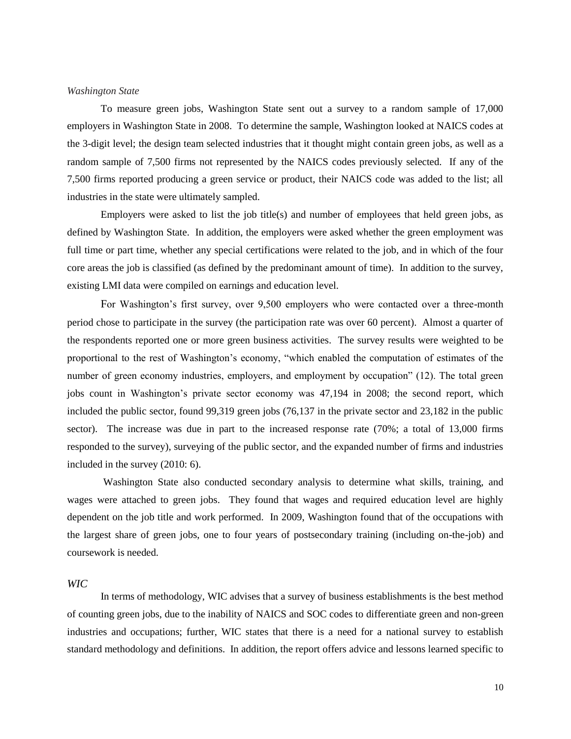#### *Washington State*

To measure green jobs, Washington State sent out a survey to a random sample of 17,000 employers in Washington State in 2008. To determine the sample, Washington looked at NAICS codes at the 3-digit level; the design team selected industries that it thought might contain green jobs, as well as a random sample of 7,500 firms not represented by the NAICS codes previously selected. If any of the 7,500 firms reported producing a green service or product, their NAICS code was added to the list; all industries in the state were ultimately sampled.

Employers were asked to list the job title(s) and number of employees that held green jobs, as defined by Washington State. In addition, the employers were asked whether the green employment was full time or part time, whether any special certifications were related to the job, and in which of the four core areas the job is classified (as defined by the predominant amount of time). In addition to the survey, existing LMI data were compiled on earnings and education level.

For Washington"s first survey, over 9,500 employers who were contacted over a three-month period chose to participate in the survey (the participation rate was over 60 percent). Almost a quarter of the respondents reported one or more green business activities. The survey results were weighted to be proportional to the rest of Washington"s economy, "which enabled the computation of estimates of the number of green economy industries, employers, and employment by occupation" (12). The total green jobs count in Washington"s private sector economy was 47,194 in 2008; the second report, which included the public sector, found 99,319 green jobs (76,137 in the private sector and 23,182 in the public sector). The increase was due in part to the increased response rate (70%; a total of 13,000 firms responded to the survey), surveying of the public sector, and the expanded number of firms and industries included in the survey (2010: 6).

Washington State also conducted secondary analysis to determine what skills, training, and wages were attached to green jobs. They found that wages and required education level are highly dependent on the job title and work performed. In 2009, Washington found that of the occupations with the largest share of green jobs, one to four years of postsecondary training (including on-the-job) and coursework is needed.

## *WIC*

In terms of methodology, WIC advises that a survey of business establishments is the best method of counting green jobs, due to the inability of NAICS and SOC codes to differentiate green and non-green industries and occupations; further, WIC states that there is a need for a national survey to establish standard methodology and definitions. In addition, the report offers advice and lessons learned specific to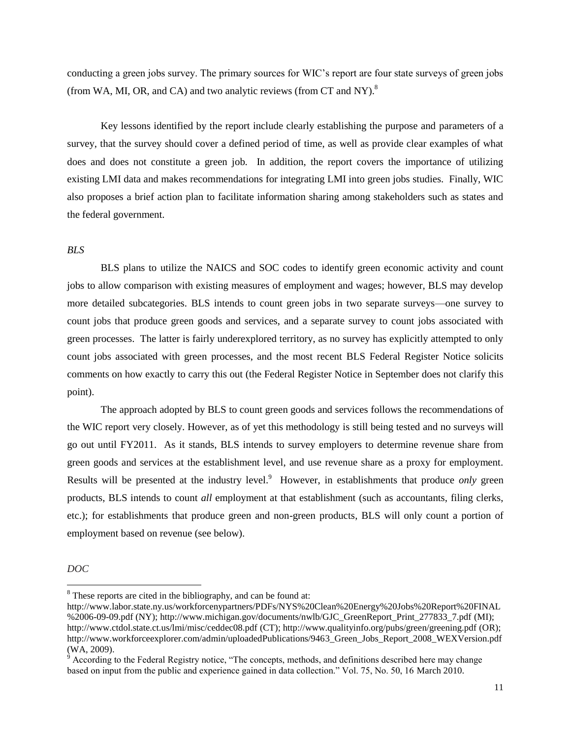conducting a green jobs survey. The primary sources for WIC"s report are four state surveys of green jobs (from WA, MI, OR, and CA) and two analytic reviews (from CT and NY). $8$ 

Key lessons identified by the report include clearly establishing the purpose and parameters of a survey, that the survey should cover a defined period of time, as well as provide clear examples of what does and does not constitute a green job. In addition, the report covers the importance of utilizing existing LMI data and makes recommendations for integrating LMI into green jobs studies. Finally, WIC also proposes a brief action plan to facilitate information sharing among stakeholders such as states and the federal government.

### *BLS*

BLS plans to utilize the NAICS and SOC codes to identify green economic activity and count jobs to allow comparison with existing measures of employment and wages; however, BLS may develop more detailed subcategories. BLS intends to count green jobs in two separate surveys—one survey to count jobs that produce green goods and services, and a separate survey to count jobs associated with green processes. The latter is fairly underexplored territory, as no survey has explicitly attempted to only count jobs associated with green processes, and the most recent BLS Federal Register Notice solicits comments on how exactly to carry this out (the Federal Register Notice in September does not clarify this point).

The approach adopted by BLS to count green goods and services follows the recommendations of the WIC report very closely. However, as of yet this methodology is still being tested and no surveys will go out until FY2011. As it stands, BLS intends to survey employers to determine revenue share from green goods and services at the establishment level, and use revenue share as a proxy for employment. Results will be presented at the industry level.<sup>9</sup> However, in establishments that produce *only* green products, BLS intends to count *all* employment at that establishment (such as accountants, filing clerks, etc.); for establishments that produce green and non-green products, BLS will only count a portion of employment based on revenue (see below).

*DOC*

<sup>8</sup> These reports are cited in the bibliography, and can be found at:

[http://www.labor.state.ny.us/workforcenypartners/PDFs/NYS%20Clean%20Energy%20Jobs%20Report%20FINAL](http://www.labor.state.ny.us/workforcenypartners/PDFs/NYS%20Clean%20Energy%20Jobs%20Report%20FINAL%2006-09-09.pdf) [%2006-09-09.pdf](http://www.labor.state.ny.us/workforcenypartners/PDFs/NYS%20Clean%20Energy%20Jobs%20Report%20FINAL%2006-09-09.pdf) (NY)[; http://www.michigan.gov/documents/nwlb/GJC\\_GreenReport\\_Print\\_277833\\_7.pdf](http://www.michigan.gov/documents/nwlb/GJC_GreenReport_Print_277833_7.pdf) (MI); <http://www.ctdol.state.ct.us/lmi/misc/ceddec08.pdf> (CT);<http://www.qualityinfo.org/pubs/green/greening.pdf> (OR); [http://www.workforceexplorer.com/admin/uploadedPublications/9463\\_Green\\_Jobs\\_Report\\_2008\\_WEXVersion.pdf](http://www.workforceexplorer.com/admin/uploadedPublications/9463_Green_Jobs_Report_2008_WEXVersion.pdf)  $(WA, 2009)$ .

According to the Federal Registry notice, "The concepts, methods, and definitions described here may change based on input from the public and experience gained in data collection." Vol. 75, No. 50, 16 March 2010.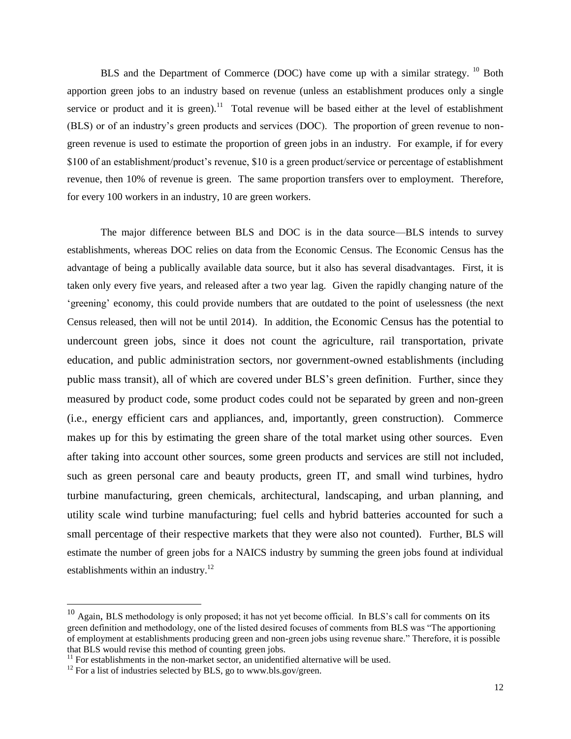BLS and the Department of Commerce (DOC) have come up with a similar strategy.  $^{10}$  Both apportion green jobs to an industry based on revenue (unless an establishment produces only a single service or product and it is green).<sup>11</sup> Total revenue will be based either at the level of establishment (BLS) or of an industry"s green products and services (DOC). The proportion of green revenue to nongreen revenue is used to estimate the proportion of green jobs in an industry. For example, if for every \$100 of an establishment/product"s revenue, \$10 is a green product/service or percentage of establishment revenue, then 10% of revenue is green. The same proportion transfers over to employment. Therefore, for every 100 workers in an industry, 10 are green workers.

The major difference between BLS and DOC is in the data source—BLS intends to survey establishments, whereas DOC relies on data from the Economic Census. The Economic Census has the advantage of being a publically available data source, but it also has several disadvantages. First, it is taken only every five years, and released after a two year lag. Given the rapidly changing nature of the "greening" economy, this could provide numbers that are outdated to the point of uselessness (the next Census released, then will not be until 2014). In addition, the Economic Census has the potential to undercount green jobs, since it does not count the agriculture, rail transportation, private education, and public administration sectors, nor government-owned establishments (including public mass transit), all of which are covered under BLS"s green definition. Further, since they measured by product code, some product codes could not be separated by green and non-green (i.e., energy efficient cars and appliances, and, importantly, green construction). Commerce makes up for this by estimating the green share of the total market using other sources. Even after taking into account other sources, some green products and services are still not included, such as green personal care and beauty products, green IT, and small wind turbines, hydro turbine manufacturing, green chemicals, architectural, landscaping, and urban planning, and utility scale wind turbine manufacturing; fuel cells and hybrid batteries accounted for such a small percentage of their respective markets that they were also not counted). Further, BLS will estimate the number of green jobs for a NAICS industry by summing the green jobs found at individual establishments within an industry.<sup>12</sup>

<sup>&</sup>lt;sup>10</sup> Again, BLS methodology is only proposed; it has not yet become official. In BLS's call for comments on its green definition and methodology, one of the listed desired focuses of comments from BLS was "The apportioning of employment at establishments producing green and non-green jobs using revenue share." Therefore, it is possible that BLS would revise this method of counting green jobs.

 $11$  For establishments in the non-market sector, an unidentified alternative will be used.

 $12$  For a list of industries selected by BLS, go to www.bls.gov/green.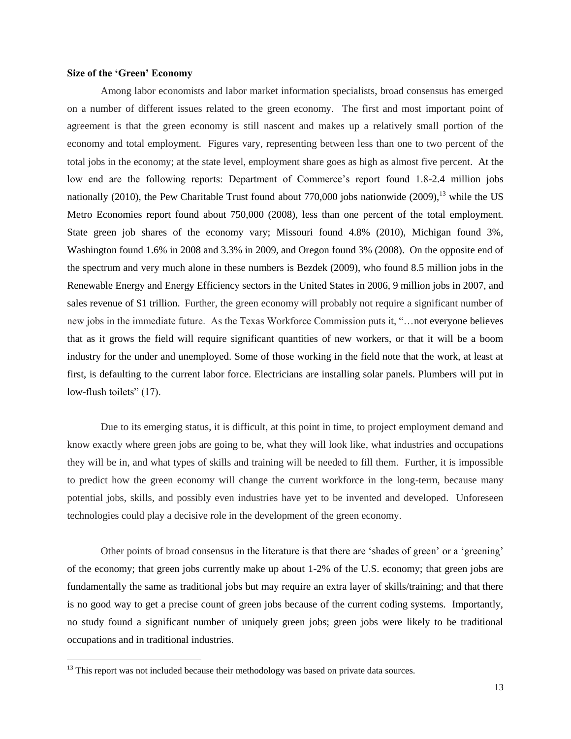## **Size of the 'Green' Economy**

Among labor economists and labor market information specialists, broad consensus has emerged on a number of different issues related to the green economy. The first and most important point of agreement is that the green economy is still nascent and makes up a relatively small portion of the economy and total employment. Figures vary, representing between less than one to two percent of the total jobs in the economy; at the state level, employment share goes as high as almost five percent. At the low end are the following reports: Department of Commerce's report found 1.8-2.4 million jobs nationally (2010), the Pew Charitable Trust found about 770,000 jobs nationwide (2009), <sup>13</sup> while the US Metro Economies report found about 750,000 (2008), less than one percent of the total employment. State green job shares of the economy vary; Missouri found 4.8% (2010), Michigan found 3%, Washington found 1.6% in 2008 and 3.3% in 2009, and Oregon found 3% (2008). On the opposite end of the spectrum and very much alone in these numbers is Bezdek (2009), who found 8.5 million jobs in the Renewable Energy and Energy Efficiency sectors in the United States in 2006, 9 million jobs in 2007, and sales revenue of \$1 trillion. Further, the green economy will probably not require a significant number of new jobs in the immediate future. As the Texas Workforce Commission puts it, "…not everyone believes that as it grows the field will require significant quantities of new workers, or that it will be a boom industry for the under and unemployed. Some of those working in the field note that the work, at least at first, is defaulting to the current labor force. Electricians are installing solar panels. Plumbers will put in low-flush toilets" (17).

Due to its emerging status, it is difficult, at this point in time, to project employment demand and know exactly where green jobs are going to be, what they will look like, what industries and occupations they will be in, and what types of skills and training will be needed to fill them. Further, it is impossible to predict how the green economy will change the current workforce in the long-term, because many potential jobs, skills, and possibly even industries have yet to be invented and developed. Unforeseen technologies could play a decisive role in the development of the green economy.

Other points of broad consensus in the literature is that there are "shades of green" or a "greening" of the economy; that green jobs currently make up about 1-2% of the U.S. economy; that green jobs are fundamentally the same as traditional jobs but may require an extra layer of skills/training; and that there is no good way to get a precise count of green jobs because of the current coding systems. Importantly, no study found a significant number of uniquely green jobs; green jobs were likely to be traditional occupations and in traditional industries.

 $13$  This report was not included because their methodology was based on private data sources.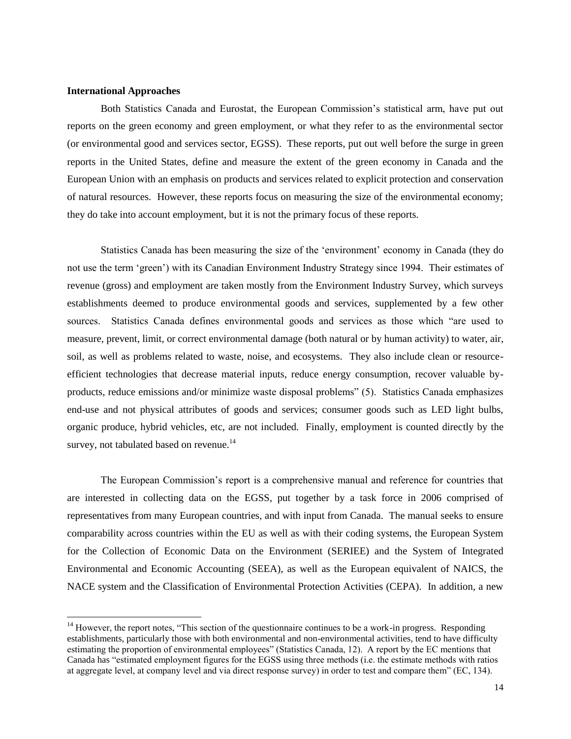### **International Approaches**

 $\overline{a}$ 

Both Statistics Canada and Eurostat, the European Commission"s statistical arm, have put out reports on the green economy and green employment, or what they refer to as the environmental sector (or environmental good and services sector, EGSS). These reports, put out well before the surge in green reports in the United States, define and measure the extent of the green economy in Canada and the European Union with an emphasis on products and services related to explicit protection and conservation of natural resources. However, these reports focus on measuring the size of the environmental economy; they do take into account employment, but it is not the primary focus of these reports.

Statistics Canada has been measuring the size of the "environment" economy in Canada (they do not use the term "green") with its Canadian Environment Industry Strategy since 1994. Their estimates of revenue (gross) and employment are taken mostly from the Environment Industry Survey, which surveys establishments deemed to produce environmental goods and services, supplemented by a few other sources. Statistics Canada defines environmental goods and services as those which "are used to measure, prevent, limit, or correct environmental damage (both natural or by human activity) to water, air, soil, as well as problems related to waste, noise, and ecosystems. They also include clean or resourceefficient technologies that decrease material inputs, reduce energy consumption, recover valuable byproducts, reduce emissions and/or minimize waste disposal problems" (5). Statistics Canada emphasizes end-use and not physical attributes of goods and services; consumer goods such as LED light bulbs, organic produce, hybrid vehicles, etc, are not included. Finally, employment is counted directly by the survey, not tabulated based on revenue.<sup>14</sup>

The European Commission"s report is a comprehensive manual and reference for countries that are interested in collecting data on the EGSS, put together by a task force in 2006 comprised of representatives from many European countries, and with input from Canada. The manual seeks to ensure comparability across countries within the EU as well as with their coding systems, the European System for the Collection of Economic Data on the Environment (SERIEE) and the System of Integrated Environmental and Economic Accounting (SEEA), as well as the European equivalent of NAICS, the NACE system and the Classification of Environmental Protection Activities (CEPA). In addition, a new

<sup>&</sup>lt;sup>14</sup> However, the report notes, "This section of the questionnaire continues to be a work-in progress. Responding establishments, particularly those with both environmental and non-environmental activities, tend to have difficulty estimating the proportion of environmental employees" (Statistics Canada, 12). A report by the EC mentions that Canada has "estimated employment figures for the EGSS using three methods (i.e. the estimate methods with ratios at aggregate level, at company level and via direct response survey) in order to test and compare them" (EC, 134).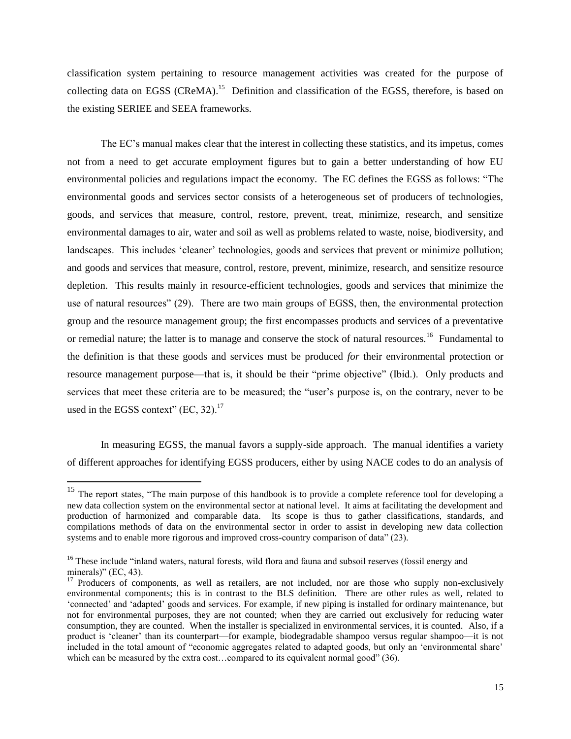classification system pertaining to resource management activities was created for the purpose of collecting data on EGSS (CReMA).<sup>15</sup> Definition and classification of the EGSS, therefore, is based on the existing SERIEE and SEEA frameworks.

The EC"s manual makes clear that the interest in collecting these statistics, and its impetus, comes not from a need to get accurate employment figures but to gain a better understanding of how EU environmental policies and regulations impact the economy. The EC defines the EGSS as follows: "The environmental goods and services sector consists of a heterogeneous set of producers of technologies, goods, and services that measure, control, restore, prevent, treat, minimize, research, and sensitize environmental damages to air, water and soil as well as problems related to waste, noise, biodiversity, and landscapes. This includes 'cleaner' technologies, goods and services that prevent or minimize pollution; and goods and services that measure, control, restore, prevent, minimize, research, and sensitize resource depletion. This results mainly in resource-efficient technologies, goods and services that minimize the use of natural resources" (29). There are two main groups of EGSS, then, the environmental protection group and the resource management group; the first encompasses products and services of a preventative or remedial nature; the latter is to manage and conserve the stock of natural resources.<sup>16</sup> Fundamental to the definition is that these goods and services must be produced *for* their environmental protection or resource management purpose—that is, it should be their "prime objective" (Ibid.). Only products and services that meet these criteria are to be measured; the "user"s purpose is, on the contrary, never to be used in the EGSS context"  $(EC, 32).$ <sup>17</sup>

In measuring EGSS, the manual favors a supply-side approach. The manual identifies a variety of different approaches for identifying EGSS producers, either by using NACE codes to do an analysis of

 $15$  The report states, "The main purpose of this handbook is to provide a complete reference tool for developing a new data collection system on the environmental sector at national level. It aims at facilitating the development and production of harmonized and comparable data. Its scope is thus to gather classifications, standards, and compilations methods of data on the environmental sector in order to assist in developing new data collection systems and to enable more rigorous and improved cross-country comparison of data" (23).

<sup>&</sup>lt;sup>16</sup> These include "inland waters, natural forests, wild flora and fauna and subsoil reserves (fossil energy and minerals)" (EC, 43).

<sup>&</sup>lt;sup>17</sup> Producers of components, as well as retailers, are not included, nor are those who supply non-exclusively environmental components; this is in contrast to the BLS definition. There are other rules as well, related to "connected" and "adapted" goods and services. For example, if new piping is installed for ordinary maintenance, but not for environmental purposes, they are not counted; when they are carried out exclusively for reducing water consumption, they are counted. When the installer is specialized in environmental services, it is counted. Also, if a product is 'cleaner' than its counterpart—for example, biodegradable shampoo versus regular shampoo—it is not included in the total amount of "economic aggregates related to adapted goods, but only an "environmental share" which can be measured by the extra cost...compared to its equivalent normal good" (36).